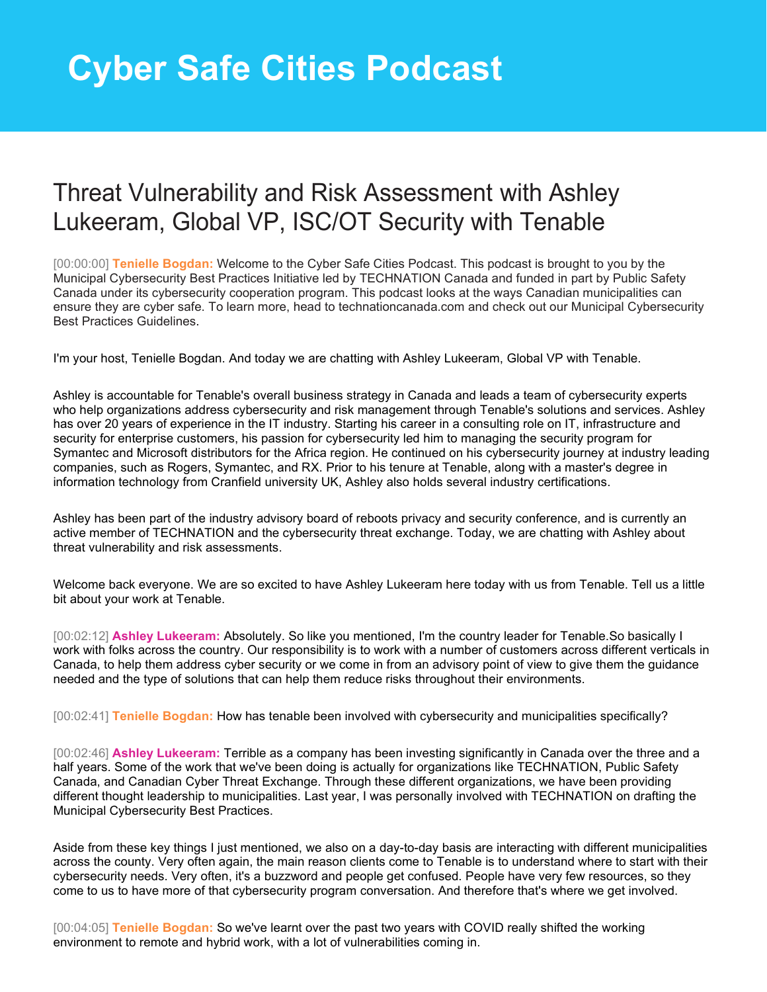## **Cyber Safe Cities Podcast**

## Threat Vulnerability and Risk Assessment with Ashley Lukeeram, Global VP, ISC/OT Security with Tenable

[00:00:00] **Tenielle Bogdan:** Welcome to the Cyber Safe Cities Podcast. This podcast is brought to you by the Municipal Cybersecurity Best Practices Initiative led by TECHNATION Canada and funded in part by Public Safety Canada under its cybersecurity cooperation program. This podcast looks at the ways Canadian municipalities can ensure they are cyber safe. To learn more, head to technationcanada.com and check out our Municipal Cybersecurity Best Practices Guidelines.

I'm your host, Tenielle Bogdan. And today we are chatting with Ashley Lukeeram, Global VP with Tenable.

Ashley is accountable for Tenable's overall business strategy in Canada and leads a team of cybersecurity experts who help organizations address cybersecurity and risk management through Tenable's solutions and services. Ashley has over 20 years of experience in the IT industry. Starting his career in a consulting role on IT, infrastructure and security for enterprise customers, his passion for cybersecurity led him to managing the security program for Symantec and Microsoft distributors for the Africa region. He continued on his cybersecurity journey at industry leading companies, such as Rogers, Symantec, and RX. Prior to his tenure at Tenable, along with a master's degree in information technology from Cranfield university UK, Ashley also holds several industry certifications.

Ashley has been part of the industry advisory board of reboots privacy and security conference, and is currently an active member of TECHNATION and the cybersecurity threat exchange. Today, we are chatting with Ashley about threat vulnerability and risk assessments.

Welcome back everyone. We are so excited to have Ashley Lukeeram here today with us from Tenable. Tell us a little bit about your work at Tenable.

[00:02:12] **Ashley Lukeeram:** Absolutely. So like you mentioned, I'm the country leader for Tenable.So basically I work with folks across the country. Our responsibility is to work with a number of customers across different verticals in Canada, to help them address cyber security or we come in from an advisory point of view to give them the guidance needed and the type of solutions that can help them reduce risks throughout their environments.

[00:02:41] **Tenielle Bogdan:** How has tenable been involved with cybersecurity and municipalities specifically?

[00:02:46] **Ashley Lukeeram:** Terrible as a company has been investing significantly in Canada over the three and a half years. Some of the work that we've been doing is actually for organizations like TECHNATION, Public Safety Canada, and Canadian Cyber Threat Exchange. Through these different organizations, we have been providing different thought leadership to municipalities. Last year, I was personally involved with TECHNATION on drafting the Municipal Cybersecurity Best Practices.

Aside from these key things I just mentioned, we also on a day-to-day basis are interacting with different municipalities across the county. Very often again, the main reason clients come to Tenable is to understand where to start with their cybersecurity needs. Very often, it's a buzzword and people get confused. People have very few resources, so they come to us to have more of that cybersecurity program conversation. And therefore that's where we get involved.

[00:04:05] **Tenielle Bogdan:** So we've learnt over the past two years with COVID really shifted the working environment to remote and hybrid work, with a lot of vulnerabilities coming in.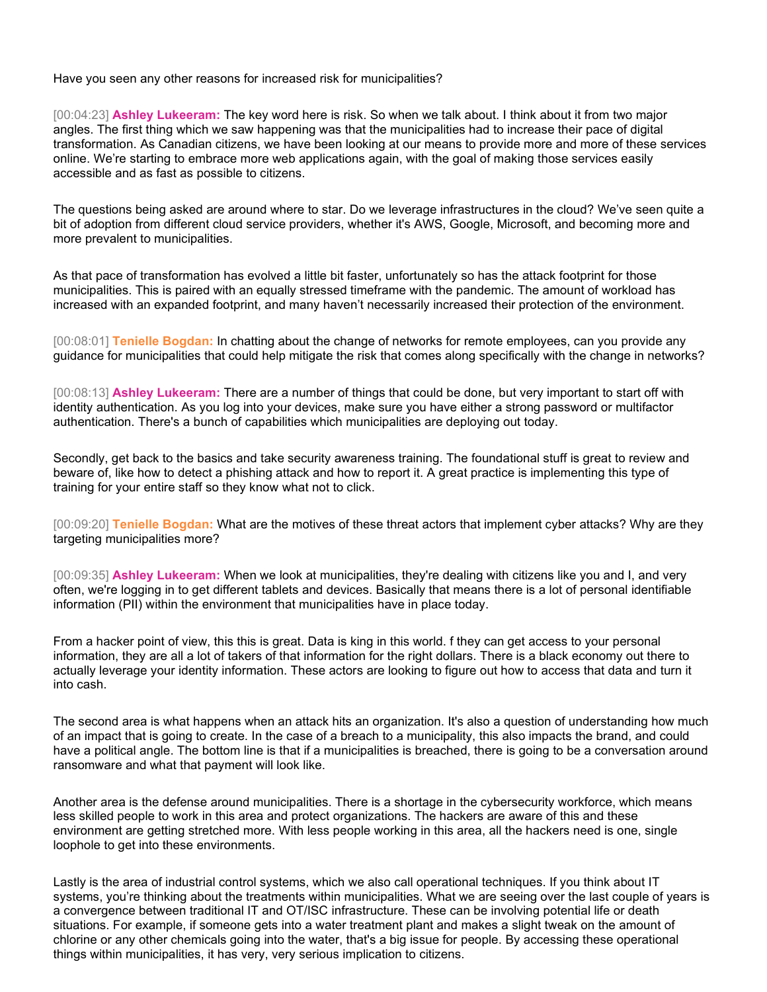Have you seen any other reasons for increased risk for municipalities?

[00:04:23] **Ashley Lukeeram:** The key word here is risk. So when we talk about. I think about it from two major angles. The first thing which we saw happening was that the municipalities had to increase their pace of digital transformation. As Canadian citizens, we have been looking at our means to provide more and more of these services online. We're starting to embrace more web applications again, with the goal of making those services easily accessible and as fast as possible to citizens.

The questions being asked are around where to star. Do we leverage infrastructures in the cloud? We've seen quite a bit of adoption from different cloud service providers, whether it's AWS, Google, Microsoft, and becoming more and more prevalent to municipalities.

As that pace of transformation has evolved a little bit faster, unfortunately so has the attack footprint for those municipalities. This is paired with an equally stressed timeframe with the pandemic. The amount of workload has increased with an expanded footprint, and many haven't necessarily increased their protection of the environment.

[00:08:01] **Tenielle Bogdan:** In chatting about the change of networks for remote employees, can you provide any guidance for municipalities that could help mitigate the risk that comes along specifically with the change in networks?

[00:08:13] **Ashley Lukeeram:** There are a number of things that could be done, but very important to start off with identity authentication. As you log into your devices, make sure you have either a strong password or multifactor authentication. There's a bunch of capabilities which municipalities are deploying out today.

Secondly, get back to the basics and take security awareness training. The foundational stuff is great to review and beware of, like how to detect a phishing attack and how to report it. A great practice is implementing this type of training for your entire staff so they know what not to click.

[00:09:20] **Tenielle Bogdan:** What are the motives of these threat actors that implement cyber attacks? Why are they targeting municipalities more?

[00:09:35] **Ashley Lukeeram:** When we look at municipalities, they're dealing with citizens like you and I, and very often, we're logging in to get different tablets and devices. Basically that means there is a lot of personal identifiable information (PII) within the environment that municipalities have in place today.

From a hacker point of view, this this is great. Data is king in this world. f they can get access to your personal information, they are all a lot of takers of that information for the right dollars. There is a black economy out there to actually leverage your identity information. These actors are looking to figure out how to access that data and turn it into cash.

The second area is what happens when an attack hits an organization. It's also a question of understanding how much of an impact that is going to create. In the case of a breach to a municipality, this also impacts the brand, and could have a political angle. The bottom line is that if a municipalities is breached, there is going to be a conversation around ransomware and what that payment will look like.

Another area is the defense around municipalities. There is a shortage in the cybersecurity workforce, which means less skilled people to work in this area and protect organizations. The hackers are aware of this and these environment are getting stretched more. With less people working in this area, all the hackers need is one, single loophole to get into these environments.

Lastly is the area of industrial control systems, which we also call operational techniques. If you think about IT systems, you're thinking about the treatments within municipalities. What we are seeing over the last couple of years is a convergence between traditional IT and OT/ISC infrastructure. These can be involving potential life or death situations. For example, if someone gets into a water treatment plant and makes a slight tweak on the amount of chlorine or any other chemicals going into the water, that's a big issue for people. By accessing these operational things within municipalities, it has very, very serious implication to citizens.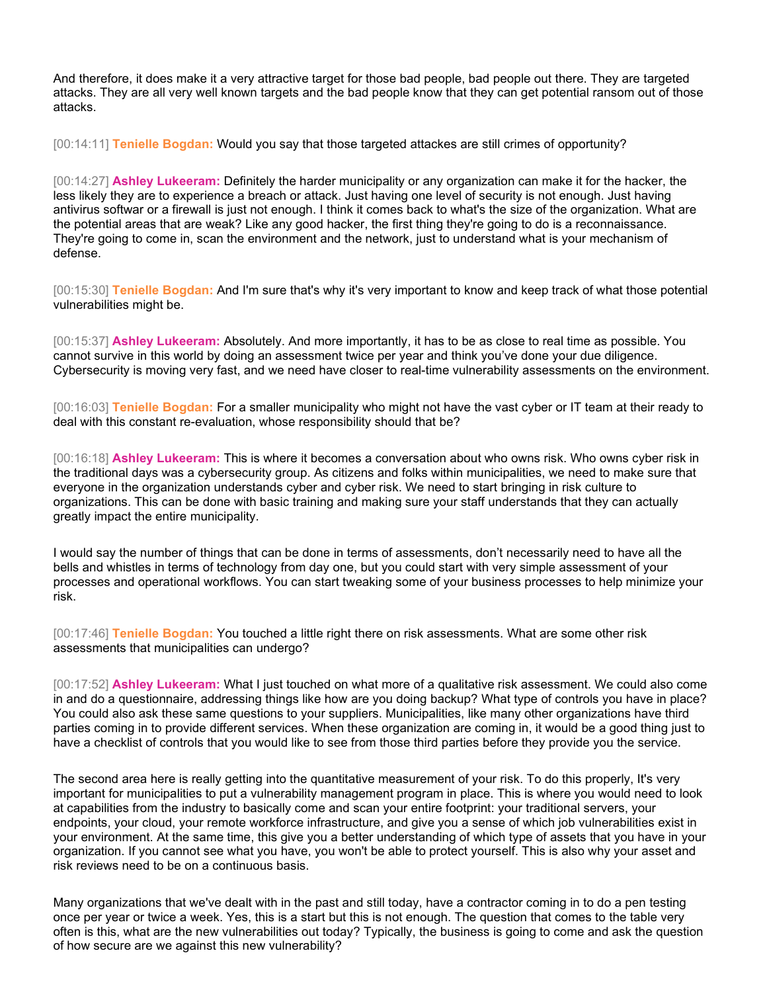And therefore, it does make it a very attractive target for those bad people, bad people out there. They are targeted attacks. They are all very well known targets and the bad people know that they can get potential ransom out of those attacks.

[00:14:11] **Tenielle Bogdan:** Would you say that those targeted attackes are still crimes of opportunity?

[00:14:27] **Ashley Lukeeram:** Definitely the harder municipality or any organization can make it for the hacker, the less likely they are to experience a breach or attack. Just having one level of security is not enough. Just having antivirus softwar or a firewall is just not enough. I think it comes back to what's the size of the organization. What are the potential areas that are weak? Like any good hacker, the first thing they're going to do is a reconnaissance. They're going to come in, scan the environment and the network, just to understand what is your mechanism of defense.

[00:15:30] **Tenielle Bogdan:** And I'm sure that's why it's very important to know and keep track of what those potential vulnerabilities might be.

[00:15:37] **Ashley Lukeeram:** Absolutely. And more importantly, it has to be as close to real time as possible. You cannot survive in this world by doing an assessment twice per year and think you've done your due diligence. Cybersecurity is moving very fast, and we need have closer to real-time vulnerability assessments on the environment.

[00:16:03] **Tenielle Bogdan:** For a smaller municipality who might not have the vast cyber or IT team at their ready to deal with this constant re-evaluation, whose responsibility should that be?

[00:16:18] **Ashley Lukeeram:** This is where it becomes a conversation about who owns risk. Who owns cyber risk in the traditional days was a cybersecurity group. As citizens and folks within municipalities, we need to make sure that everyone in the organization understands cyber and cyber risk. We need to start bringing in risk culture to organizations. This can be done with basic training and making sure your staff understands that they can actually greatly impact the entire municipality.

I would say the number of things that can be done in terms of assessments, don't necessarily need to have all the bells and whistles in terms of technology from day one, but you could start with very simple assessment of your processes and operational workflows. You can start tweaking some of your business processes to help minimize your risk.

[00:17:46] **Tenielle Bogdan:** You touched a little right there on risk assessments. What are some other risk assessments that municipalities can undergo?

[00:17:52] **Ashley Lukeeram:** What I just touched on what more of a qualitative risk assessment. We could also come in and do a questionnaire, addressing things like how are you doing backup? What type of controls you have in place? You could also ask these same questions to your suppliers. Municipalities, like many other organizations have third parties coming in to provide different services. When these organization are coming in, it would be a good thing just to have a checklist of controls that you would like to see from those third parties before they provide you the service.

The second area here is really getting into the quantitative measurement of your risk. To do this properly, It's very important for municipalities to put a vulnerability management program in place. This is where you would need to look at capabilities from the industry to basically come and scan your entire footprint: your traditional servers, your endpoints, your cloud, your remote workforce infrastructure, and give you a sense of which job vulnerabilities exist in your environment. At the same time, this give you a better understanding of which type of assets that you have in your organization. If you cannot see what you have, you won't be able to protect yourself. This is also why your asset and risk reviews need to be on a continuous basis.

Many organizations that we've dealt with in the past and still today, have a contractor coming in to do a pen testing once per year or twice a week. Yes, this is a start but this is not enough. The question that comes to the table very often is this, what are the new vulnerabilities out today? Typically, the business is going to come and ask the question of how secure are we against this new vulnerability?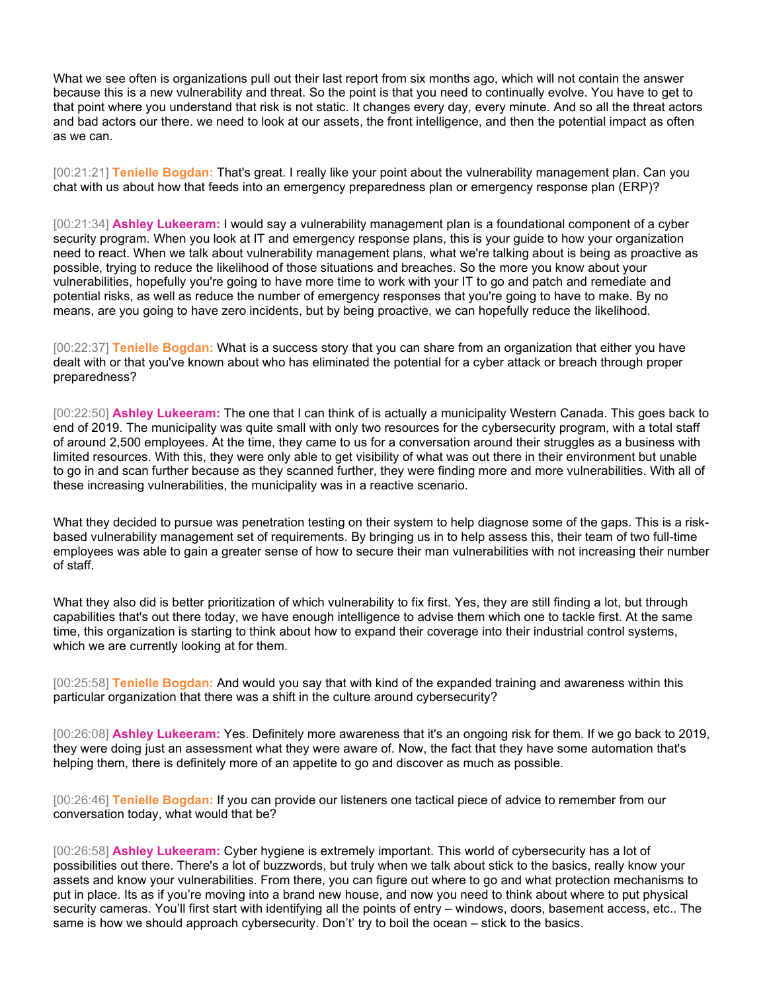What we see often is organizations pull out their last report from six months ago, which will not contain the answer because this is a new vulnerability and threat. So the point is that you need to continually evolve. You have to get to that point where you understand that risk is not static. It changes every day, every minute. And so all the threat actors and bad actors our there. we need to look at our assets, the front intelligence, and then the potential impact as often as we can.

[00:21:21] **Tenielle Bogdan:** That's great. I really like your point about the vulnerability management plan. Can you chat with us about how that feeds into an emergency preparedness plan or emergency response plan (ERP)?

[00:21:34] **Ashley Lukeeram:** I would say a vulnerability management plan is a foundational component of a cyber security program. When you look at IT and emergency response plans, this is your guide to how your organization need to react. When we talk about vulnerability management plans, what we're talking about is being as proactive as possible, trying to reduce the likelihood of those situations and breaches. So the more you know about your vulnerabilities, hopefully you're going to have more time to work with your IT to go and patch and remediate and potential risks, as well as reduce the number of emergency responses that you're going to have to make. By no means, are you going to have zero incidents, but by being proactive, we can hopefully reduce the likelihood.

[00:22:37] **Tenielle Bogdan:** What is a success story that you can share from an organization that either you have dealt with or that you've known about who has eliminated the potential for a cyber attack or breach through proper preparedness?

[00:22:50] **Ashley Lukeeram:** The one that I can think of is actually a municipality Western Canada. This goes back to end of 2019. The municipality was quite small with only two resources for the cybersecurity program, with a total staff of around 2,500 employees. At the time, they came to us for a conversation around their struggles as a business with limited resources. With this, they were only able to get visibility of what was out there in their environment but unable to go in and scan further because as they scanned further, they were finding more and more vulnerabilities. With all of these increasing vulnerabilities, the municipality was in a reactive scenario.

What they decided to pursue was penetration testing on their system to help diagnose some of the gaps. This is a riskbased vulnerability management set of requirements. By bringing us in to help assess this, their team of two full-time employees was able to gain a greater sense of how to secure their man vulnerabilities with not increasing their number of staff.

What they also did is better prioritization of which vulnerability to fix first. Yes, they are still finding a lot, but through capabilities that's out there today, we have enough intelligence to advise them which one to tackle first. At the same time, this organization is starting to think about how to expand their coverage into their industrial control systems, which we are currently looking at for them.

[00:25:58] **Tenielle Bogdan:** And would you say that with kind of the expanded training and awareness within this particular organization that there was a shift in the culture around cybersecurity?

[00:26:08] **Ashley Lukeeram:** Yes. Definitely more awareness that it's an ongoing risk for them. If we go back to 2019, they were doing just an assessment what they were aware of. Now, the fact that they have some automation that's helping them, there is definitely more of an appetite to go and discover as much as possible.

[00:26:46] **Tenielle Bogdan:** If you can provide our listeners one tactical piece of advice to remember from our conversation today, what would that be?

[00:26:58] **Ashley Lukeeram:** Cyber hygiene is extremely important. This world of cybersecurity has a lot of possibilities out there. There's a lot of buzzwords, but truly when we talk about stick to the basics, really know your assets and know your vulnerabilities. From there, you can figure out where to go and what protection mechanisms to put in place. Its as if you're moving into a brand new house, and now you need to think about where to put physical security cameras. You'll first start with identifying all the points of entry – windows, doors, basement access, etc.. The same is how we should approach cybersecurity. Don't' try to boil the ocean – stick to the basics.